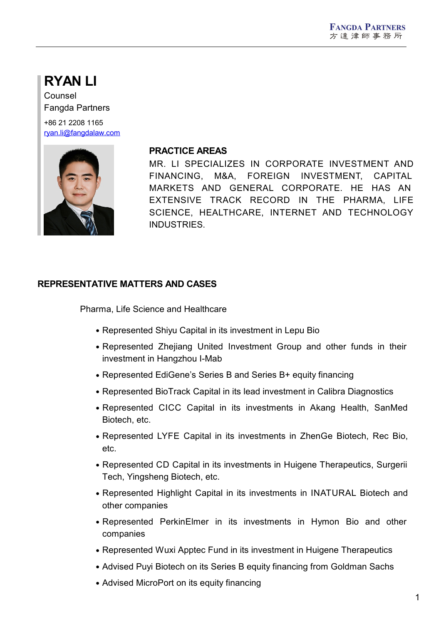# **RYAN LI**

Counsel Fangda Partners

+86 21 2208 1165 [ryan.li@fangdalaw.com](mailto:ryan.li@fangdalaw.com)



#### **PRACTICE AREAS**

MR. LI SPECIALIZES IN CORPORATE INVESTMENT AND FINANCING, M&A, FOREIGN INVESTMENT, CAPITAL MARKETS AND GENERAL CORPORATE. HE HAS AN EXTENSIVE TRACK RECORD IN THE PHARMA, LIFE SCIENCE, HEALTHCARE, INTERNET AND TECHNOLOGY INDUSTRIES.

### **REPRESENTATIVE MATTERS AND CASES**

Pharma, Life Science and Healthcare

- Represented Shiyu Capital in its investment in Lepu Bio
- Represented Zhejiang United Investment Group and other funds in their investment in Hangzhou I-Mab
- Represented EdiGene's Series B and Series B+ equity financing
- Represented BioTrack Capital in its lead investment in Calibra Diagnostics
- Represented CICC Capital in its investments in Akang Health, SanMed Biotech, etc.
- Represented LYFE Capital in its investments in ZhenGe Biotech, Rec Bio, etc.
- Represented CD Capital in its investments in Huigene Therapeutics, Surgerii Tech, Yingsheng Biotech, etc.
- Represented Highlight Capital in its investments in INATURAL Biotech and other companies
- Represented PerkinElmer in its investments in Hymon Bio and other companies
- Represented Wuxi Apptec Fund in its investment in Huigene Therapeutics
- Advised Puyi Biotech on its Series B equity financing from Goldman Sachs
- Advised MicroPort on its equity financing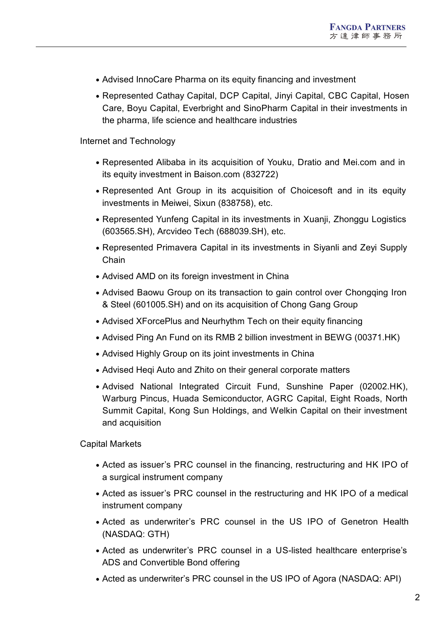- Advised InnoCare Pharma on its equity financing and investment
- Represented Cathay Capital, DCP Capital, Jinyi Capital, CBC Capital, Hosen Care, Boyu Capital, Everbright and SinoPharm Capital in their investments in the pharma, life science and healthcare industries

#### Internet and Technology

- Represented Alibaba in its acquisition of Youku, Dratio and Mei.com and in its equity investment in Baison.com (832722)
- Represented Ant Group in its acquisition of Choicesoft and in its equity investments in Meiwei, Sixun (838758), etc.
- Represented Yunfeng Capital in its investments in Xuanji, Zhonggu Logistics (603565.SH), Arcvideo Tech (688039.SH), etc.
- Represented Primavera Capital in its investments in Siyanli and Zeyi Supply Chain
- Advised AMD on its foreign investment in China
- Advised Baowu Group on its transaction to gain control over Chongqing Iron & Steel(601005.SH) and on its acquisition of Chong Gang Group
- Advised XForcePlus and Neurhythm Tech on their equity financing
- Advised Ping An Fund on its RMB 2 billion investment in BEWG (00371.HK)
- Advised Highly Group on its joint investments in China
- Advised Heqi Auto and Zhito on their general corporate matters
- Advised National Integrated Circuit Fund, Sunshine Paper (02002.HK), Warburg Pincus, Huada Semiconductor, AGRC Capital, Eight Roads, North Summit Capital, Kong Sun Holdings, and Welkin Capital on their investment and acquisition

Capital Markets

- Acted as issuer's PRC counsel in the financing, restructuring and HK IPO of a surgical instrument company
- Acted as issuer's PRC counsel in the restructuring and HK IPO of a medical instrument company
- Acted as underwriter's PRC counsel in the US IPO of Genetron Health (NASDAQ: GTH)
- Acted as underwriter's PRC counsel in a US-listed healthcare enterprise's ADS and Convertible Bond offering
- Acted as underwriter's PRC counsel in the US IPO of Agora (NASDAQ: API)